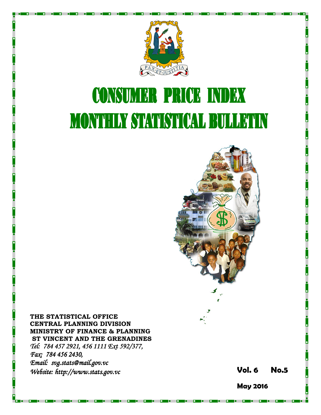

# **CONSUMER PRICE INDEX MONTHLY STATISTICAL BULLETIN**



THE STATISTICAL OFFICE CENTRAL PLANNING DIVISION MINISTRY OF FINANCE & PLANNING ST VINCENT AND THE GRENADINES Tel: 784 457 2921, 456 1111 Ext 592/377, Fax: 784 456 2430, Email: svg.stats@mail.gov.vc Website: http://www.stats.gov.vc **Stats.gov.vc** Stats.gov.vc Stats.gov.vc Vol. 6 No.5

May 2016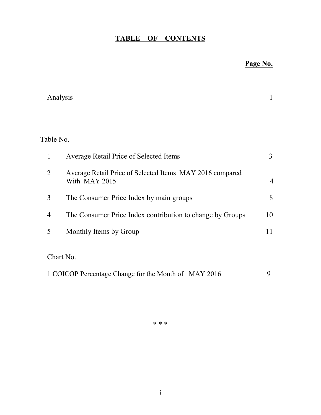## TABLE OF CONTENTS

## Page No.

|                | Analysis $-$                                                              | 1              |
|----------------|---------------------------------------------------------------------------|----------------|
|                |                                                                           |                |
| Table No.      |                                                                           |                |
| $\mathbf{1}$   | Average Retail Price of Selected Items                                    | 3              |
| $\overline{2}$ | Average Retail Price of Selected Items MAY 2016 compared<br>With MAY 2015 | $\overline{4}$ |
| 3              | The Consumer Price Index by main groups                                   | 8              |
| $\overline{4}$ | The Consumer Price Index contribution to change by Groups                 | 10             |
| 5              | Monthly Items by Group                                                    | 11             |
|                | Chart No.                                                                 |                |
|                | 1 COICOP Percentage Change for the Month of MAY 2016                      | 9              |

\* \* \*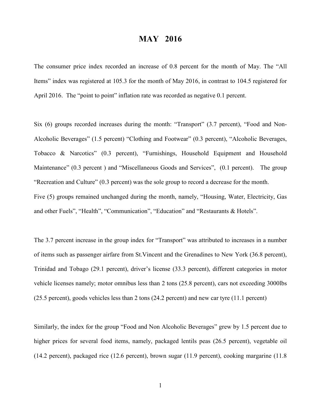### MAY 2016

The consumer price index recorded an increase of 0.8 percent for the month of May. The "All Items" index was registered at 105.3 for the month of May 2016, in contrast to 104.5 registered for April 2016. The "point to point" inflation rate was recorded as negative 0.1 percent.

Six (6) groups recorded increases during the month: "Transport" (3.7 percent), "Food and Non-Alcoholic Beverages" (1.5 percent) "Clothing and Footwear" (0.3 percent), "Alcoholic Beverages, Tobacco & Narcotics" (0.3 percent), "Furnishings, Household Equipment and Household Maintenance" (0.3 percent ) and "Miscellaneous Goods and Services", (0.1 percent). The group "Recreation and Culture" (0.3 percent) was the sole group to record a decrease for the month. Five (5) groups remained unchanged during the month, namely, "Housing, Water, Electricity, Gas and other Fuels", "Health", "Communication", "Education" and "Restaurants & Hotels".

The 3.7 percent increase in the group index for "Transport" was attributed to increases in a number of items such as passenger airfare from St.Vincent and the Grenadines to New York (36.8 percent), Trinidad and Tobago (29.1 percent), driver's license (33.3 percent), different categories in motor vehicle licenses namely; motor omnibus less than 2 tons (25.8 percent), cars not exceeding 3000lbs (25.5 percent), goods vehicles less than 2 tons (24.2 percent) and new car tyre (11.1 percent)

Similarly, the index for the group "Food and Non Alcoholic Beverages" grew by 1.5 percent due to higher prices for several food items, namely, packaged lentils peas (26.5 percent), vegetable oil (14.2 percent), packaged rice (12.6 percent), brown sugar (11.9 percent), cooking margarine (11.8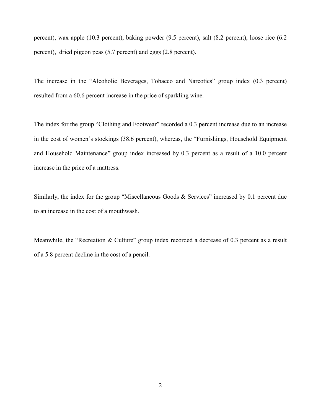percent), wax apple (10.3 percent), baking powder (9.5 percent), salt (8.2 percent), loose rice (6.2 percent), dried pigeon peas (5.7 percent) and eggs (2.8 percent).

The increase in the "Alcoholic Beverages, Tobacco and Narcotics" group index (0.3 percent) resulted from a 60.6 percent increase in the price of sparkling wine.

The index for the group "Clothing and Footwear" recorded a 0.3 percent increase due to an increase in the cost of women's stockings (38.6 percent), whereas, the "Furnishings, Household Equipment and Household Maintenance" group index increased by 0.3 percent as a result of a 10.0 percent increase in the price of a mattress.

Similarly, the index for the group "Miscellaneous Goods & Services" increased by 0.1 percent due to an increase in the cost of a mouthwash.

Meanwhile, the "Recreation & Culture" group index recorded a decrease of 0.3 percent as a result of a 5.8 percent decline in the cost of a pencil.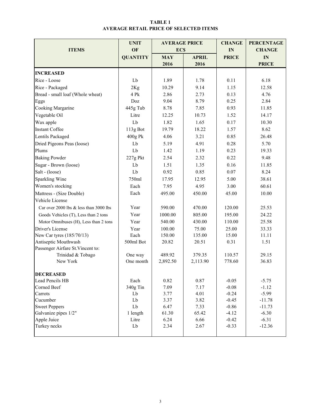#### TABLE 1 AVERAGE RETAIL PRICE OF SELECTED ITEMS

|                                        | <b>UNIT</b>     | <b>AVERAGE PRICE</b> |              | <b>CHANGE</b> | <b>PERCENTAGE</b> |  |
|----------------------------------------|-----------------|----------------------|--------------|---------------|-------------------|--|
| <b>ITEMS</b>                           | OF              | <b>ECS</b>           |              | IN            | <b>CHANGE</b>     |  |
|                                        | <b>QUANTITY</b> | <b>MAY</b>           | <b>APRIL</b> | <b>PRICE</b>  | IN                |  |
|                                        |                 | 2016                 | 2016         |               | <b>PRICE</b>      |  |
| <b>INCREASED</b>                       |                 |                      |              |               |                   |  |
| Rice - Loose                           | Lb              | 1.89                 | 1.78         | 0.11          | 6.18              |  |
| Rice - Packaged                        | 2Kg             | 10.29                | 9.14         | 1.15          | 12.58             |  |
| Bread - small loaf (Whole wheat)       | 4 Pk            | 2.86                 | 2.73         | 0.13          | 4.76              |  |
| Eggs                                   | Doz             | 9.04                 | 8.79         | 0.25          | 2.84              |  |
| Cooking Margarine                      | 445g Tub        | 8.78                 | 7.85         | 0.93          | 11.85             |  |
| Vegetable Oil                          | Litre           | 12.25                | 10.73        | 1.52          | 14.17             |  |
| Wax apple                              | Lb              | 1.82                 | 1.65         | 0.17          | 10.30             |  |
| <b>Instant Coffee</b>                  | 113g Bot        | 19.79                | 18.22        | 1.57          | 8.62              |  |
| Lentils Packaged                       | 400g Pk         | 4.06                 | 3.21         | 0.85          | 26.48             |  |
| Dried Pigeons Peas (loose)             | Lb              | 5.19                 | 4.91         | 0.28          | 5.70              |  |
| Plums                                  | Lb              | 1.42                 | 1.19         | 0.23          | 19.33             |  |
| <b>Baking Powder</b>                   | 227g Pkt        | 2.54                 | 2.32         | 0.22          | 9.48              |  |
| Sugar - Brown (loose)                  | Lb              | 1.51                 | 1.35         | 0.16          | 11.85             |  |
| Salt - (loose)                         | Lb              | 0.92                 | 0.85         | 0.07          | 8.24              |  |
| Sparkling Wine                         | 750ml           | 17.95                | 12.95        | 5.00          | 38.61             |  |
| Women's stocking                       | Each            | 7.95                 | 4.95         | 3.00          | 60.61             |  |
| Mattress - (Size Double)               | Each            | 495.00               | 450.00       | 45.00         | 10.00             |  |
| Vehicle License                        |                 |                      |              |               |                   |  |
| Car over 2000 lbs & less than 3000 lbs | Year            | 590.00               | 470.00       | 120.00        | 25.53             |  |
| Goods Vehicles (T), Less than 2 tons   | Year            | 1000.00              | 805.00       | 195.00        | 24.22             |  |
| Motor Omnibuses (H), Less than 2 tons  | Year            | 540.00               | 430.00       | 110.00        | 25.58             |  |
| Driver's License                       | Year            | 100.00               | 75.00        | 25.00         | 33.33             |  |
| New Car tyres (185/70/13)              | Each            | 150.00               | 135.00       | 15.00         | 11.11             |  |
| Antiseptic Mouthwash                   | 500ml Bot       | 20.82                | 20.51        | 0.31          | 1.51              |  |
| Passenger Airfare St. Vincent to:      |                 |                      |              |               |                   |  |
| Trinidad & Tobago                      | One way         | 489.92               | 379.35       | 110.57        | 29.15             |  |
| New York                               | One month       | 2,892.50             | 2,113.90     | 778.60        | 36.83             |  |
| <b>DECREASED</b>                       |                 |                      |              |               |                   |  |
| Lead Pencils HB                        | Each            | 0.82                 | 0.87         | $-0.05$       | $-5.75$           |  |
| Corned Beef                            | 340g Tin        | 7.09                 | 7.17         | $-0.08$       | $-1.12$           |  |
| Carrots<br>Lb                          |                 | 3.77                 | 4.01         | $-0.24$       | $-5.99$           |  |
| Cucumber                               | Lb              | 3.37                 | 3.82         | $-0.45$       | $-11.78$          |  |
| <b>Sweet Peppers</b>                   | ${\rm Lb}$      | 6.47                 | 7.33         | $-0.86$       | $-11.73$          |  |
| Galvanize pipes 1/2"                   | 1 length        | 61.30                | 65.42        | $-4.12$       | $-6.30$           |  |
| Apple Juice                            | Litre           | 6.24                 | 6.66         | $-0.42$       | $-6.31$           |  |
| Turkey necks                           | Lb              | 2.34                 | 2.67         | $-0.33$       | $-12.36$          |  |
|                                        |                 |                      |              |               |                   |  |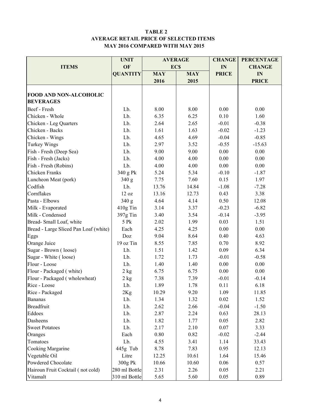#### TABLE 2 AVERAGE RETAIL PRICE OF SELECTED ITEMS MAY 2016 COMPARED WITH MAY 2015

|                                       | <b>UNIT</b>     |            | <b>AVERAGE</b> | <b>CHANGE</b> | <b>PERCENTAGE</b> |  |
|---------------------------------------|-----------------|------------|----------------|---------------|-------------------|--|
| <b>ITEMS</b>                          | OF              | <b>ECS</b> |                | IN            | <b>CHANGE</b>     |  |
|                                       | <b>QUANTITY</b> | <b>MAY</b> | <b>MAY</b>     | <b>PRICE</b>  | IN                |  |
|                                       |                 | 2016       | 2015           |               | <b>PRICE</b>      |  |
|                                       |                 |            |                |               |                   |  |
| FOOD AND NON-ALCOHOLIC                |                 |            |                |               |                   |  |
| <b>BEVERAGES</b>                      |                 |            |                |               |                   |  |
| Beef - Fresh                          | Lb.             | 8.00       | 8.00           | 0.00          | 0.00              |  |
| Chicken - Whole                       | Lb.             | 6.35       | 6.25           | 0.10          | 1.60              |  |
| Chicken - Leg Quarters                | Lb.             | 2.64       | 2.65           | $-0.01$       | $-0.38$           |  |
| Chicken - Backs                       | Lb.             | 1.61       | 1.63           | $-0.02$       | $-1.23$           |  |
| Chicken - Wings                       | Lb.             | 4.65       | 4.69           | $-0.04$       | $-0.85$           |  |
| Turkey Wings                          | Lb.             | 2.97       | 3.52           | $-0.55$       | $-15.63$          |  |
| Fish - Fresh (Deep Sea)               | Lb.             | 9.00       | 9.00           | 0.00          | 0.00              |  |
| Fish - Fresh (Jacks)                  | Lb.             | 4.00       | 4.00           | 0.00          | 0.00              |  |
| Fish - Fresh (Robins)                 | Lb.             | 4.00       | 4.00           | 0.00          | 0.00              |  |
| Chicken Franks                        | 340 g Pk        | 5.24       | 5.34           | $-0.10$       | $-1.87$           |  |
| Luncheon Meat (pork)                  | 340 g           | 7.75       | 7.60           | 0.15          | 1.97              |  |
| Codfish                               | Lb.             | 13.76      | 14.84          | $-1.08$       | $-7.28$           |  |
| Cornflakes                            | 12 oz           | 13.16      | 12.73          | 0.43          | 3.38              |  |
| Pasta - Elbows                        | 340 g           | 4.64       | 4.14           | 0.50          | 12.08             |  |
| Milk - Evaporated                     | 410g Tin        | 3.14       | 3.37           | $-0.23$       | $-6.82$           |  |
| Milk - Condensed                      | 397g Tin        | 3.40       | 3.54           | $-0.14$       | $-3.95$           |  |
| Bread-Small Loaf, white               | 5 Pk            | 2.02       | 1.99           | 0.03          | 1.51              |  |
| Bread - Large Sliced Pan Loaf (white) | Each            | 4.25       | 4.25           | 0.00          | 0.00              |  |
| Eggs                                  | Doz             | 9.04       | 8.64           | 0.40          | 4.63              |  |
| Orange Juice                          | 19 oz Tin       | 8.55       | 7.85           | 0.70          | 8.92              |  |
| Sugar - Brown (loose)                 | Lb.             | 1.51       | 1.42           | 0.09          | 6.34              |  |
| Sugar - White (loose)                 | Lb.             | 1.72       | 1.73           | $-0.01$       | $-0.58$           |  |
| Flour - Loose                         | Lb.             | 1.40       | 1.40           | 0.00          | 0.00              |  |
| Flour - Packaged (white)              | $2$ kg          | 6.75       | 6.75           | 0.00          | 0.00              |  |
| Flour - Packaged (wholewheat)         | 2 kg            | 7.38       | 7.39           | $-0.01$       | $-0.14$           |  |
| Rice - Loose                          | Lb.             | 1.89       | 1.78           | 0.11          | 6.18              |  |
| Rice - Packaged                       | 2Kg             | 10.29      | 9.20           | 1.09          | 11.85             |  |
| <b>Bananas</b>                        | Lb.             | 1.34       | 1.32           | 0.02          | 1.52              |  |
| <b>Breadfruit</b>                     | Lb.             | 2.62       | 2.66           | $-0.04$       | $-1.50$           |  |
| Eddoes                                | Lb.             | 2.87       | 2.24           | 0.63          | 28.13             |  |
| Dasheens                              | Lb.             | 1.82       | 1.77           | 0.05          | 2.82              |  |
| <b>Sweet Potatoes</b><br>Lb.          |                 | 2.17       | 2.10           | 0.07          | 3.33              |  |
| Each<br>Oranges                       |                 | $0.80\,$   | 0.82           | $-0.02$       | $-2.44$           |  |
| Tomatoes<br>Lb.                       |                 | 4.55       | 3.41           | 1.14          | 33.43             |  |
| Cooking Margarine                     | 445g Tub        | 8.78       | 7.83           | 0.95          | 12.13             |  |
| Vegetable Oil                         | Litre           | 12.25      | 10.61          | 1.64          | 15.46             |  |
| Powdered Chocolate                    | 300g Pk         | 10.66      | 10.60          | 0.06          | 0.57              |  |
| Hairoun Fruit Cocktail (not cold)     | 280 ml Bottle   | 2.31       | 2.26           | 0.05          | 2.21              |  |
| Vitamalt                              | 310 ml Bottle   | 5.65       | 5.60           | 0.05          | 0.89              |  |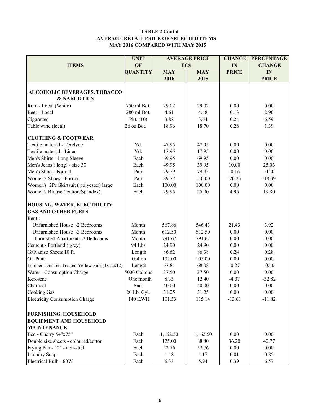#### TABLE 2 Cont'd AVERAGE RETAIL PRICE OF SELECTED ITEMS MAY 2016 COMPARED WITH MAY 2015

|                                                     | <b>UNIT</b>            |                 | <b>AVERAGE PRICE</b> | <b>CHANGE</b> | <b>PERCENTAGE</b> |  |
|-----------------------------------------------------|------------------------|-----------------|----------------------|---------------|-------------------|--|
| <b>ITEMS</b>                                        | OF                     |                 | <b>ECS</b>           | IN            | <b>CHANGE</b>     |  |
|                                                     | <b>QUANTITY</b>        | <b>MAY</b>      | <b>MAY</b>           | <b>PRICE</b>  | IN                |  |
|                                                     |                        | 2016            | 2015                 |               | <b>PRICE</b>      |  |
|                                                     |                        |                 |                      |               |                   |  |
| <b>ALCOHOLIC BEVERAGES, TOBACCO</b>                 |                        |                 |                      |               |                   |  |
| <b>&amp; NARCOTICS</b>                              |                        |                 |                      |               |                   |  |
| Rum - Local (White)                                 | 750 ml Bot.            | 29.02           | 29.02                | 0.00          | 0.00              |  |
| Beer - Local                                        | 280 ml Bot.            | 4.61            | 4.48                 | 0.13          | 2.90              |  |
| Cigarettes                                          | Pkt. $(10)$            | 3.88            | 3.64                 | 0.24          | 6.59              |  |
| Table wine (local)                                  | 26 oz Bot.             | 18.96           | 18.70                | 0.26          | 1.39              |  |
| <b>CLOTHING &amp; FOOTWEAR</b>                      |                        |                 |                      |               |                   |  |
| Textile material - Terelyne                         | Yd.                    | 47.95           | 47.95                | 0.00          | 0.00              |  |
| Textile material - Linen                            | Yd.                    | 17.95           | 17.95                | 0.00          | 0.00              |  |
| Men's Shirts - Long Sleeve                          | Each                   | 69.95           | 69.95                | 0.00          | 0.00              |  |
| Men's Jeans (long) - size 30                        | Each                   | 49.95           | 39.95                | 10.00         | 25.03             |  |
| Men's Shoes -Formal                                 | Pair                   | 79.79           | 79.95                | $-0.16$       | $-0.20$           |  |
| Women's Shoes - Formal                              | Pair                   | 89.77           | 110.00               | $-20.23$      | $-18.39$          |  |
| Women's 2Pc Skirtsuit (polyester) large             | Each                   | 100.00          | 100.00               | 0.00          | 0.00              |  |
| Women's Blouse (cotton/Spandex)                     | Each                   | 29.95           | 25.00                | 4.95          | 19.80             |  |
| HOUSING, WATER, ELECTRICITY                         |                        |                 |                      |               |                   |  |
| <b>GAS AND OTHER FUELS</b>                          |                        |                 |                      |               |                   |  |
| Rent:                                               |                        |                 |                      |               |                   |  |
| Unfurnished House -2 Bedrooms                       | Month                  | 567.86          | 546.43               | 21.43         | 3.92              |  |
| Unfurnished House -3 Bedrooms                       | Month                  | 612.50          | 612.50               | 0.00          | 0.00              |  |
| Furnished Apartment - 2 Bedrooms                    | Month                  | 791.67          | 791.67               | 0.00          | 0.00              |  |
|                                                     | 94 Lbs                 | 24.90           | 24.90                | 0.00          | 0.00              |  |
| Cement - Portland (grey)<br>Galvanise Sheets 10 ft. |                        |                 | 86.38                |               |                   |  |
| Oil Paint                                           | Length<br>Gallon       | 86.62<br>105.00 | 105.00               | 0.24          | 0.28              |  |
|                                                     |                        |                 |                      | 0.00          | 0.00              |  |
| Lumber -Dressed Treated Yellow Pine (1x12x12)       | Length<br>5000 Gallons | 67.81           | 68.08                | $-0.27$       | $-0.40$           |  |
| Water - Consumption Charge                          |                        | 37.50           | 37.50                | 0.00          | 0.00              |  |
| Kerosene                                            | One month              | 8.33            | 12.40                | $-4.07$       | $-32.82$          |  |
| Charcoal                                            | Sack                   | 40.00           | 40.00                | 0.00          | 0.00              |  |
| <b>Cooking Gas</b>                                  | 20 Lb. Cyl.            | 31.25           | 31.25                | 0.00          | 0.00              |  |
| <b>Electricity Consumption Charge</b>               | <b>140 KWH</b>         | 101.53          | 115.14               | $-13.61$      | $-11.82$          |  |
| <b>FURNISHING, HOUSEHOLD</b>                        |                        |                 |                      |               |                   |  |
| <b>EQUIPMENT AND HOUSEHOLD</b>                      |                        |                 |                      |               |                   |  |
| <b>MAINTENANCE</b>                                  |                        |                 |                      |               |                   |  |
| Bed - Cherry 54"x75"                                | Each                   | 1,162.50        | 1,162.50             | 0.00          | 0.00              |  |
| Double size sheets - coloured/cotton                | Each                   | 125.00          | 88.80                | 36.20         | 40.77             |  |
| Frying Pan - 12" - non-stick                        | Each                   | 52.76           | 52.76                | 0.00          | 0.00              |  |
| Laundry Soap                                        | Each                   | 1.18            | 1.17                 | 0.01          | 0.85              |  |
| Electrical Bulb - 60W                               | Each                   | 6.33            | 5.94                 | 0.39          | 6.57              |  |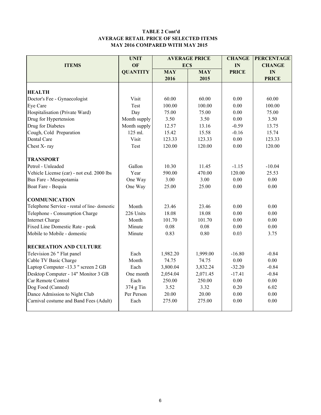#### TABLE 2 Cont'd AVERAGE RETAIL PRICE OF SELECTED ITEMS MAY 2016 COMPARED WITH MAY 2015

|                                                  | <b>UNIT</b>     |            | <b>AVERAGE PRICE</b> | <b>CHANGE</b> | <b>PERCENTAGE</b> |
|--------------------------------------------------|-----------------|------------|----------------------|---------------|-------------------|
| <b>ITEMS</b>                                     | OF              | <b>ECS</b> |                      | IN            | <b>CHANGE</b>     |
|                                                  | <b>QUANTITY</b> | <b>MAY</b> | <b>MAY</b>           | <b>PRICE</b>  | IN                |
|                                                  |                 | 2016       | 2015                 |               | <b>PRICE</b>      |
|                                                  |                 |            |                      |               |                   |
| <b>HEALTH</b>                                    |                 |            |                      |               |                   |
| Doctor's Fee - Gynaecologist                     | Visit           | 60.00      | 60.00                | 0.00          | 60.00             |
| Eye Care                                         | Test            | 100.00     | 100.00               | 0.00          | 100.00            |
| Hospitalisation (Private Ward)                   | Day             | 75.00      | 75.00                | 0.00          | 75.00             |
| Drug for Hypertension                            | Month supply    | 3.50       | 3.50                 | 0.00          | 3.50              |
| Drug for Diabetes                                | Month supply    | 12.57      | 13.16                | $-0.59$       | 13.75             |
| Cough, Cold Preparation                          | 125 ml.         | 15.42      | 15.58                | $-0.16$       | 15.74             |
| Dental Care                                      | Visit           | 123.33     | 123.33               | 0.00          | 123.33            |
| Chest X-ray                                      | Test            | 120.00     | 120.00               | 0.00          | 120.00            |
| <b>TRANSPORT</b>                                 |                 |            |                      |               |                   |
| Petrol - Unleaded                                | Gallon          | 10.30      | 11.45                | $-1.15$       | $-10.04$          |
| Vehicle License (car) - not exd. 2000 lbs        | Year            | 590.00     | 470.00               | 120.00        | 25.53             |
| Bus Fare - Mesopotamia                           | One Way         | 3.00       | 3.00                 | 0.00          | 0.00              |
| Boat Fare - Bequia                               | One Way         | 25.00      | 25.00                | 0.00          | 0.00              |
| <b>COMMUNICATION</b>                             |                 |            |                      |               |                   |
| Telephone Service - rental of line-domestic      | Month           | 23.46      | 23.46                | 0.00          | 0.00              |
| Telephone - Consumption Charge                   | 226 Units       | 18.08      | 18.08                | 0.00          | 0.00              |
| <b>Internet Charge</b>                           | Month           | 101.70     | 101.70               | 0.00          | 0.00              |
| Fixed Line Domestic Rate - peak                  | Minute          | 0.08       | 0.08                 | 0.00          | 0.00              |
| Mobile to Mobile - domestic                      | Minute          | 0.83       | 0.80                 | 0.03          | 3.75              |
|                                                  |                 |            |                      |               |                   |
| <b>RECREATION AND CULTURE</b>                    |                 |            |                      |               |                   |
| Television 26 " Flat panel                       | Each            | 1,982.20   | 1,999.00             | $-16.80$      | $-0.84$           |
| Cable TV Basic Charge                            | Month           | 74.75      | 74.75                | $0.00\,$      | $0.00\,$          |
| Laptop Computer -13.3 " screen 2 GB              | Each            | 3,800.04   | 3,832.24             | $-32.20$      | $-0.84$           |
| Desktop Computer - 14" Monitor 3 GB<br>One month |                 | 2,054.04   | 2,071.45             | $-17.41$      | $-0.84$           |
| Car Remote Control                               | Each            | 250.00     | 250.00               | 0.00          | 0.00              |
| Dog Food (Canned)                                | $374$ g Tin     | 3.52       | 3.32                 | 0.20          | 6.02              |
| Dance Admission to Night Club                    | Per Person      | 20.00      | 20.00                | 0.00          | 0.00              |
| Carnival costume and Band Fees (Adult)           | Each            | 275.00     | 275.00               | 0.00          | 0.00              |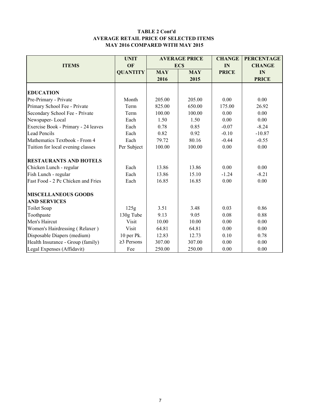#### TABLE 2 Cont'd AVERAGE RETAIL PRICE OF SELECTED ITEMS MAY 2016 COMPARED WITH MAY 2015

|                                     | <b>UNIT</b>      |              | <b>AVERAGE PRICE</b> | <b>CHANGE</b> | <b>PERCENTAGE</b> |  |
|-------------------------------------|------------------|--------------|----------------------|---------------|-------------------|--|
| <b>ITEMS</b>                        | OF               |              | <b>ECS</b>           | IN            | <b>CHANGE</b>     |  |
|                                     | <b>QUANTITY</b>  | <b>MAY</b>   | <b>MAY</b>           | <b>PRICE</b>  | IN                |  |
|                                     |                  | 2016         | 2015                 |               | <b>PRICE</b>      |  |
|                                     |                  |              |                      |               |                   |  |
| <b>EDUCATION</b>                    |                  |              |                      |               |                   |  |
| Pre-Primary - Private               | Month            | 205.00       | 205.00               | 0.00          | 0.00              |  |
| Primary School Fee - Private        | Term             | 825.00       | 650.00               | 175.00        | 26.92             |  |
| Secondary School Fee - Private      | Term             | 100.00       | 100.00               | 0.00          | 0.00              |  |
| Newspaper-Local                     | Each             | 1.50         | 1.50                 | 0.00          | 0.00              |  |
| Exercise Book - Primary - 24 leaves | Each             | 0.78         | 0.85                 | $-0.07$       | $-8.24$           |  |
| <b>Lead Pencils</b>                 | Each             | 0.82         | 0.92                 | $-0.10$       | $-10.87$          |  |
| Mathematics Textbook - From 4       | Each             | 79.72        | 80.16                | $-0.44$       | $-0.55$           |  |
| Tuition for local evening classes   | Per Subject      | 100.00       | 100.00               | 0.00          | 0.00              |  |
| <b>RESTAURANTS AND HOTELS</b>       |                  |              |                      |               |                   |  |
| Chicken Lunch - regular             | Each             | 13.86        | 13.86                | 0.00          | 0.00              |  |
| Fish Lunch - regular                | Each             | 13.86        | 15.10                | $-1.24$       | $-8.21$           |  |
| Fast Food - 2 Pc Chicken and Fries  | Each             | 16.85        | 16.85                | 0.00          | 0.00              |  |
| <b>MISCELLANEOUS GOODS</b>          |                  |              |                      |               |                   |  |
| <b>AND SERVICES</b>                 |                  |              |                      |               |                   |  |
| Toilet Soap                         | 125g             | 3.51         | 3.48                 | 0.03          | 0.86              |  |
| Toothpaste                          | 130g Tube        | 9.13<br>9.05 |                      | 0.08          | 0.88              |  |
| Men's Haircut                       | Visit            | 10.00        | 10.00                | 0.00          | 0.00              |  |
| Women's Hairdressing (Relaxer)      | Visit            | 64.81        | 64.81                | 0.00          | 0.00              |  |
| Disposable Diapers (medium)         | 10 per Pk.       | 12.83        | 12.73                | 0.10          | 0.78              |  |
| Health Insurance - Group (family)   | $\geq$ 3 Persons | 307.00       | 307.00               | 0.00          | 0.00              |  |
| Legal Expenses (Affidavit)          | Fee              | 250.00       | 250.00               | 0.00          | 0.00              |  |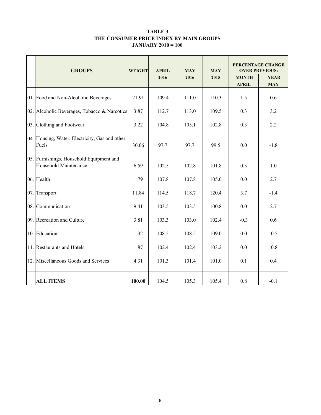#### TABLE 3 THE CONSUMER PRICE INDEX BY MAIN GROUPS JANUARY 2010 = 100

|     | <b>GROUPS</b>                                                            | <b>WEIGHT</b> | <b>APRIL</b> | <b>MAY</b> | <b>MAY</b> | PERCENTAGE CHANGE<br><b>OVER PREVIOUS:</b> |                           |  |
|-----|--------------------------------------------------------------------------|---------------|--------------|------------|------------|--------------------------------------------|---------------------------|--|
|     |                                                                          |               | 2016         | 2016       | 2015       | <b>MONTH</b><br><b>APRIL</b>               | <b>YEAR</b><br><b>MAY</b> |  |
|     | 01. Food and Non-Alcoholic Beverages                                     | 21.91         | 109.4        | 111.0      | 110.3      | 1.5                                        | 0.6                       |  |
| 02. | Alcoholic Beverages, Tobacco & Narcotics                                 | 3.87          | 112.7        | 113.0      | 109.5      | 0.3                                        | 3.2                       |  |
|     | 03. Clothing and Footwear                                                | 3.22          | 104.8        | 105.1      | 102.8      | 0.3                                        | 2.2                       |  |
|     | 04. Housing, Water, Electricity, Gas and other<br>Fuels                  | 30.06         | 97.7         | 97.7       | 99.5       | 0.0                                        | $-1.8$                    |  |
|     | 05. Furnishings, Household Equipment and<br><b>Household Maintenance</b> | 6.59          | 102.5        | 102.8      | 101.8      | 0.3                                        | 1.0                       |  |
|     | 06. Health                                                               | 1.79          | 107.8        | 107.8      | 105.0      | 0.0                                        | 2.7                       |  |
| 07. | Transport                                                                | 11.84         | 114.5        | 118.7      | 120.4      | 3.7                                        | $-1.4$                    |  |
|     | 08. Communication                                                        | 9.41          | 103.5        | 103.5      | 100.8      | 0.0                                        | 2.7                       |  |
|     | 09. Recreation and Culture                                               | 3.81          | 103.3        | 103.0      | 102.4      | $-0.3$                                     | 0.6                       |  |
| 10. | Education                                                                | 1.32          | 108.5        | 108.5      | 109.0      | 0.0                                        | $-0.5$                    |  |
|     | 11. Restaurants and Hotels                                               | 1.87          | 102.4        | 102.4      | 103.2      | 0.0                                        | $-0.8$                    |  |
| 12. | Miscellaneous Goods and Services                                         | 4.31          | 101.3        | 101.4      | 101.0      | 0.1                                        | 0.4                       |  |
|     | <b>ALL ITEMS</b>                                                         | 100.00        | 104.5        | 105.3      | 105.4      | 0.8                                        | $-0.1$                    |  |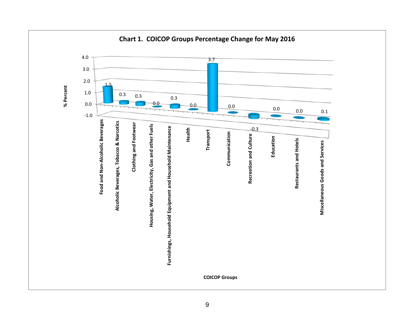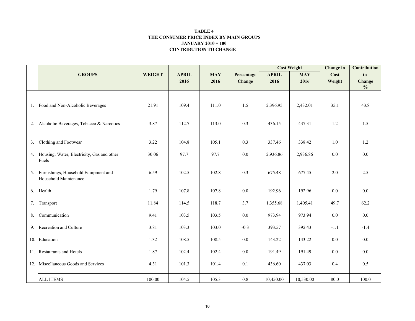#### CONTRIBUTION TO CHANGE TABLE 4 THE CONSUMER PRICE INDEX BY MAIN GROUPSJANUARY 2010 = 100

|     |                                                               |               |              |            |            | <b>Cost Weight</b> |            | <b>Change</b> in | <b>Contribution</b> |
|-----|---------------------------------------------------------------|---------------|--------------|------------|------------|--------------------|------------|------------------|---------------------|
|     | <b>GROUPS</b>                                                 | <b>WEIGHT</b> | <b>APRIL</b> | <b>MAY</b> | Percentage | <b>APRIL</b>       | <b>MAY</b> | Cost             | to                  |
|     |                                                               |               | 2016         | 2016       | Change     | 2016               | 2016       | Weight           | Change              |
|     |                                                               |               |              |            |            |                    |            |                  | $\frac{0}{0}$       |
|     | 1. Food and Non-Alcoholic Beverages                           | 21.91         | 109.4        | 111.0      | 1.5        | 2,396.95           | 2,432.01   | 35.1             | 43.8                |
| 2.  | Alcoholic Beverages, Tobacco & Narcotics                      | 3.87          | 112.7        | 113.0      | 0.3        | 436.15             | 437.31     | 1.2              | 1.5                 |
| 3.  | Clothing and Footwear                                         | 3.22          | 104.8        | 105.1      | 0.3        | 337.46             | 338.42     | $1.0\,$          | 1.2                 |
| 4.  | Housing, Water, Electricity, Gas and other<br>Fuels           | 30.06         | 97.7         | 97.7       | $0.0\,$    | 2,936.86           | 2,936.86   | $0.0\,$          | $0.0\,$             |
| 5.  | Furnishings, Household Equipment and<br>Household Maintenance | 6.59          | 102.5        | 102.8      | 0.3        | 675.48             | 677.45     | 2.0              | 2.5                 |
| 6.  | Health                                                        | 1.79          | 107.8        | 107.8      | $0.0\,$    | 192.96             | 192.96     | $0.0\,$          | 0.0                 |
| 7.  | Transport                                                     | 11.84         | 114.5        | 118.7      | 3.7        | 1,355.68           | 1,405.41   | 49.7             | 62.2                |
| 8.  | Communication                                                 | 9.41          | 103.5        | 103.5      | $0.0\,$    | 973.94             | 973.94     | $0.0\,$          | $0.0\,$             |
| 9.  | Recreation and Culture                                        | 3.81          | 103.3        | 103.0      | $-0.3$     | 393.57             | 392.43     | $-1.1$           | $-1.4$              |
|     | 10. Education                                                 | 1.32          | 108.5        | 108.5      | $0.0\,$    | 143.22             | 143.22     | 0.0              | 0.0                 |
|     | 11. Restaurants and Hotels                                    | 1.87          | 102.4        | 102.4      | $0.0\,$    | 191.49             | 191.49     | 0.0              | $0.0\,$             |
| 12. | Miscellaneous Goods and Services                              | 4.31          | 101.3        | 101.4      | 0.1        | 436.60             | 437.03     | 0.4              | 0.5                 |
|     | <b>ALL ITEMS</b>                                              | 100.00        | 104.5        | 105.3      | $0.8\,$    | 10,450.00          | 10,530.00  | 80.0             | 100.0               |